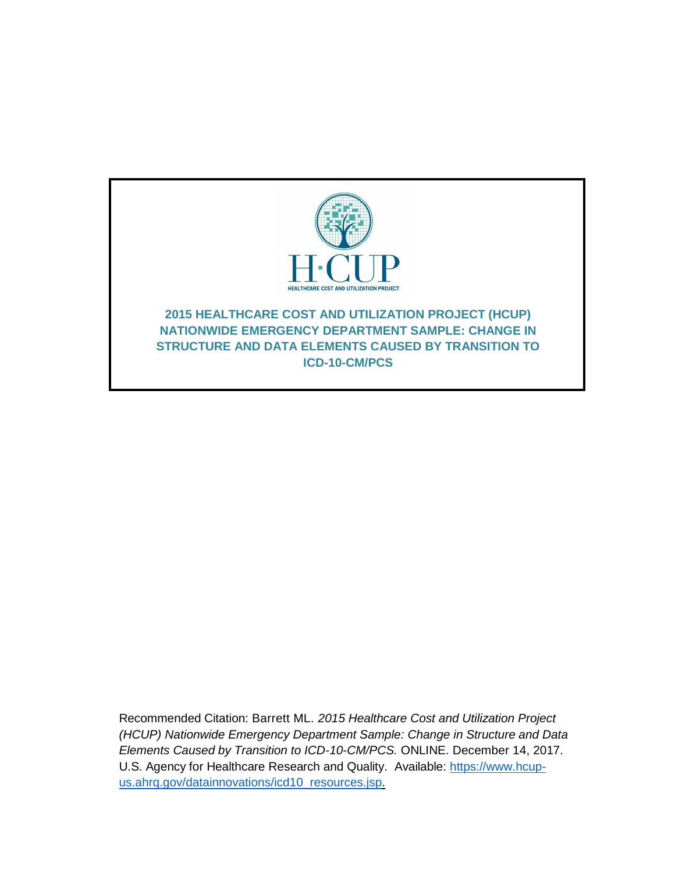

Recommended Citation: Barrett ML. *2015 Healthcare Cost and Utilization Project (HCUP) Nationwide Emergency Department Sample: Change in Structure and Data Elements Caused by Transition to ICD-10-CM/PCS.* ONLINE. December 14, 2017. U.S. Agency for Healthcare Research and Quality. Available: [https://www.hcup](http://www.hcup-us.ahrq.gov/reports/methods/methods.jsp)[us.ahrq.gov/datainnovations/icd10\\_resources.jsp.](http://www.hcup-us.ahrq.gov/reports/methods/methods.jsp)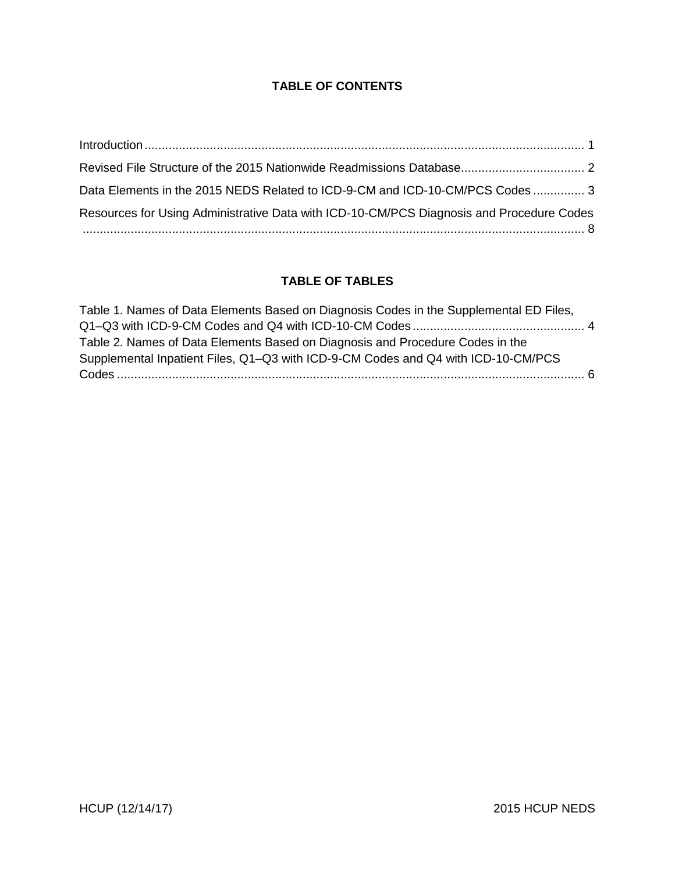# **TABLE OF CONTENTS**

| Data Elements in the 2015 NEDS Related to ICD-9-CM and ICD-10-CM/PCS Codes  3                   |  |
|-------------------------------------------------------------------------------------------------|--|
| Resources for Using Administrative Data with ICD-10-CM/PCS Diagnosis and Procedure Codes<br>$8$ |  |

#### **TABLE OF TABLES**

| Table 1. Names of Data Elements Based on Diagnosis Codes in the Supplemental ED Files, |  |
|----------------------------------------------------------------------------------------|--|
|                                                                                        |  |
| Table 2. Names of Data Elements Based on Diagnosis and Procedure Codes in the          |  |
| Supplemental Inpatient Files, Q1-Q3 with ICD-9-CM Codes and Q4 with ICD-10-CM/PCS      |  |
|                                                                                        |  |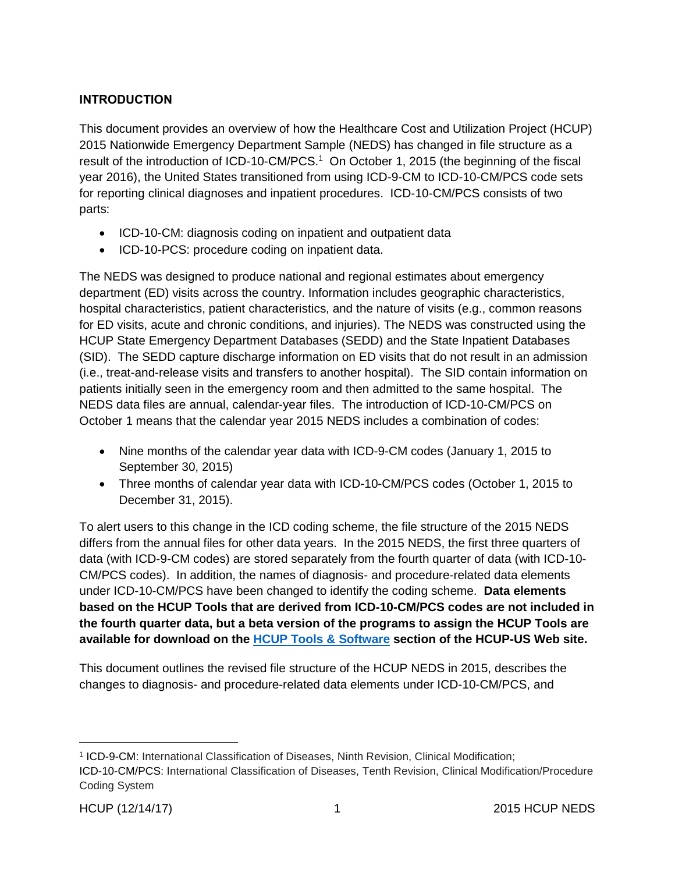# <span id="page-2-0"></span>**INTRODUCTION**

This document provides an overview of how the Healthcare Cost and Utilization Project (HCUP) 2015 Nationwide Emergency Department Sample (NEDS) has changed in file structure as a result of the introduction of ICD-10-CM/PCS.<sup>1</sup> On October 1, 2015 (the beginning of the fiscal year 2016), the United States transitioned from using ICD-9-CM to ICD-10-CM/PCS code sets for reporting clinical diagnoses and inpatient procedures. ICD-10-CM/PCS consists of two parts:

- ICD-10-CM: diagnosis coding on inpatient and outpatient data
- ICD-10-PCS: procedure coding on inpatient data.

The NEDS was designed to produce national and regional estimates about emergency department (ED) visits across the country. Information includes geographic characteristics, hospital characteristics, patient characteristics, and the nature of visits (e.g., common reasons for ED visits, acute and chronic conditions, and injuries). The NEDS was constructed using the HCUP State Emergency Department Databases (SEDD) and the State Inpatient Databases (SID). The SEDD capture discharge information on ED visits that do not result in an admission (i.e., treat-and-release visits and transfers to another hospital). The SID contain information on patients initially seen in the emergency room and then admitted to the same hospital. The NEDS data files are annual, calendar-year files. The introduction of ICD-10-CM/PCS on October 1 means that the calendar year 2015 NEDS includes a combination of codes:

- Nine months of the calendar year data with ICD-9-CM codes (January 1, 2015 to September 30, 2015)
- Three months of calendar year data with ICD-10-CM/PCS codes (October 1, 2015 to December 31, 2015).

To alert users to this change in the ICD coding scheme, the file structure of the 2015 NEDS differs from the annual files for other data years. In the 2015 NEDS, the first three quarters of data (with ICD-9-CM codes) are stored separately from the fourth quarter of data (with ICD-10- CM/PCS codes). In addition, the names of diagnosis- and procedure-related data elements under ICD-10-CM/PCS have been changed to identify the coding scheme. **Data elements based on the HCUP Tools that are derived from ICD-10-CM/PCS codes are not included in the fourth quarter data, but a beta version of the programs to assign the HCUP Tools are available for download on the [HCUP Tools & Software](https://www.hcup-us.ahrq.gov/tools_software.jsp) section of the HCUP-US Web site.**

This document outlines the revised file structure of the HCUP NEDS in 2015, describes the changes to diagnosis- and procedure-related data elements under ICD-10-CM/PCS, and

<sup>1</sup> ICD-9-CM: International Classification of Diseases, Ninth Revision, Clinical Modification;

ICD-10-CM/PCS: International Classification of Diseases, Tenth Revision, Clinical Modification/Procedure Coding System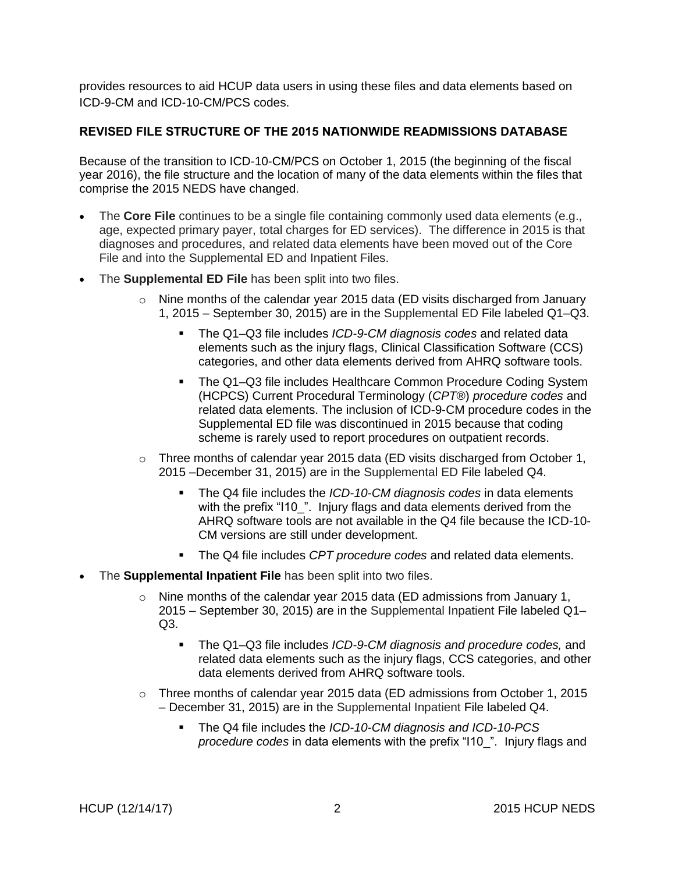provides resources to aid HCUP data users in using these files and data elements based on ICD-9-CM and ICD-10-CM/PCS codes.

#### <span id="page-3-0"></span>**REVISED FILE STRUCTURE OF THE 2015 NATIONWIDE READMISSIONS DATABASE**

Because of the transition to ICD-10-CM/PCS on October 1, 2015 (the beginning of the fiscal year 2016), the file structure and the location of many of the data elements within the files that comprise the 2015 NEDS have changed.

- The **Core File** continues to be a single file containing commonly used data elements (e.g., age, expected primary payer, total charges for ED services). The difference in 2015 is that diagnoses and procedures, and related data elements have been moved out of the Core File and into the Supplemental ED and Inpatient Files.
- The **Supplemental ED File** has been split into two files.
	- $\circ$  Nine months of the calendar year 2015 data (ED visits discharged from January 1, 2015 – September 30, 2015) are in the Supplemental ED File labeled Q1–Q3.
		- The Q1–Q3 file includes *ICD-9-CM diagnosis codes* and related data elements such as the injury flags, Clinical Classification Software (CCS) categories, and other data elements derived from AHRQ software tools.
		- The Q1-Q3 file includes Healthcare Common Procedure Coding System (HCPCS) Current Procedural Terminology (*CPT*®) *procedure codes* and related data elements. The inclusion of ICD-9-CM procedure codes in the Supplemental ED file was discontinued in 2015 because that coding scheme is rarely used to report procedures on outpatient records.
	- $\circ$  Three months of calendar year 2015 data (ED visits discharged from October 1, 2015 –December 31, 2015) are in the Supplemental ED File labeled Q4.
		- The Q4 file includes the *ICD-10-CM diagnosis codes* in data elements with the prefix "I10\_". Injury flags and data elements derived from the AHRQ software tools are not available in the Q4 file because the ICD-10- CM versions are still under development.
		- The Q4 file includes *CPT procedure codes* and related data elements.
- The **Supplemental Inpatient File** has been split into two files.
	- $\circ$  Nine months of the calendar year 2015 data (ED admissions from January 1, 2015 – September 30, 2015) are in the Supplemental Inpatient File labeled Q1– Q3.
		- The Q1–Q3 file includes *ICD-9-CM diagnosis and procedure codes,* and related data elements such as the injury flags, CCS categories, and other data elements derived from AHRQ software tools.
	- $\circ$  Three months of calendar year 2015 data (ED admissions from October 1, 2015 – December 31, 2015) are in the Supplemental Inpatient File labeled Q4.
		- The Q4 file includes the *ICD-10-CM diagnosis and ICD-10-PCS procedure codes* in data elements with the prefix "I10\_". Injury flags and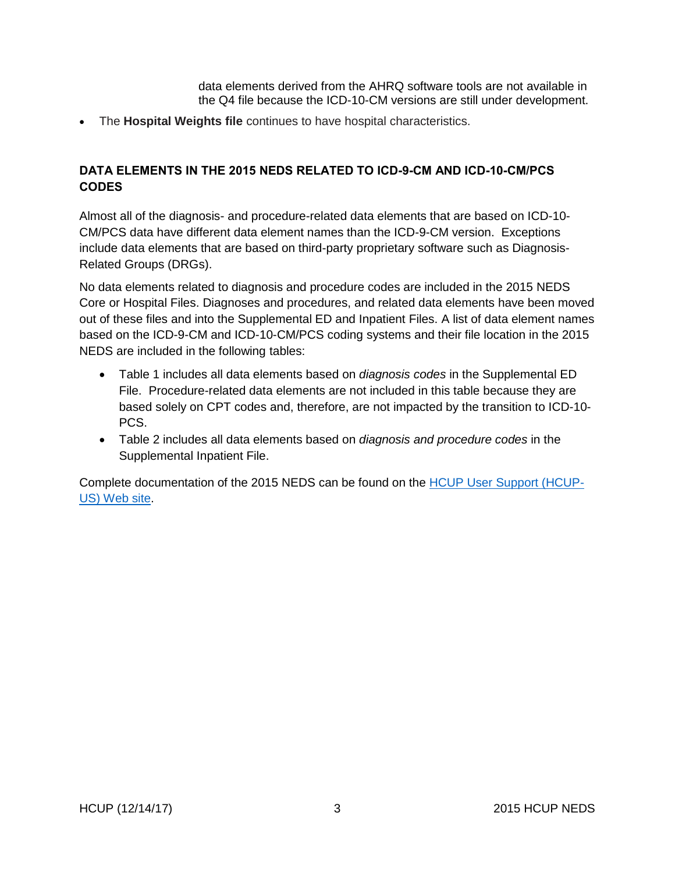data elements derived from the AHRQ software tools are not available in the Q4 file because the ICD-10-CM versions are still under development.

• The **Hospital Weights file** continues to have hospital characteristics.

### <span id="page-4-0"></span>**DATA ELEMENTS IN THE 2015 NEDS RELATED TO ICD-9-CM AND ICD-10-CM/PCS CODES**

Almost all of the diagnosis- and procedure-related data elements that are based on ICD-10- CM/PCS data have different data element names than the ICD-9-CM version. Exceptions include data elements that are based on third-party proprietary software such as Diagnosis-Related Groups (DRGs).

No data elements related to diagnosis and procedure codes are included in the 2015 NEDS Core or Hospital Files. Diagnoses and procedures, and related data elements have been moved out of these files and into the Supplemental ED and Inpatient Files. A list of data element names based on the ICD-9-CM and ICD-10-CM/PCS coding systems and their file location in the 2015 NEDS are included in the following tables:

- Table 1 includes all data elements based on *diagnosis codes* in the Supplemental ED File. Procedure-related data elements are not included in this table because they are based solely on CPT codes and, therefore, are not impacted by the transition to ICD-10- PCS.
- Table 2 includes all data elements based on *diagnosis and procedure codes* in the Supplemental Inpatient File.

Complete documentation of the 2015 NEDS can be found on the [HCUP User Support \(HCUP-](https://www.hcup-us.ahrq.gov/db/nation/neds/nedsdbdocumentation.jsp)[US\) Web site.](https://www.hcup-us.ahrq.gov/db/nation/neds/nedsdbdocumentation.jsp)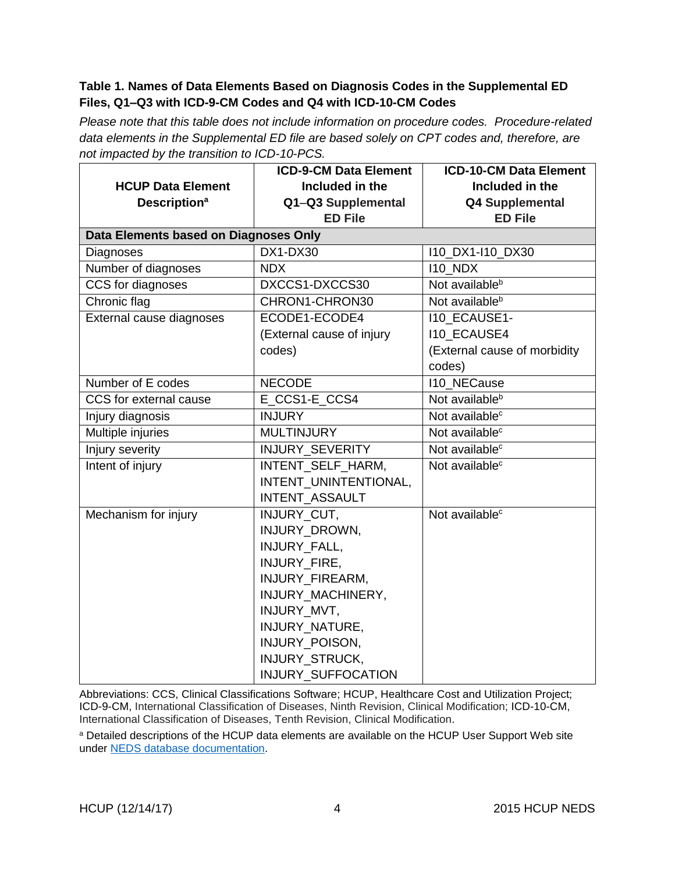### <span id="page-5-0"></span>**Table 1. Names of Data Elements Based on Diagnosis Codes in the Supplemental ED Files, Q1–Q3 with ICD-9-CM Codes and Q4 with ICD-10-CM Codes**

*Please note that this table does not include information on procedure codes. Procedure-related data elements in the Supplemental ED file are based solely on CPT codes and, therefore, are not impacted by the transition to ICD-10-PCS.* 

|                                       | <b>ICD-9-CM Data Element</b> | <b>ICD-10-CM Data Element</b> |  |  |  |
|---------------------------------------|------------------------------|-------------------------------|--|--|--|
| <b>HCUP Data Element</b>              | Included in the              | Included in the               |  |  |  |
| <b>Description<sup>a</sup></b>        | Q1-Q3 Supplemental           | <b>Q4 Supplemental</b>        |  |  |  |
|                                       | <b>ED File</b>               | <b>ED File</b>                |  |  |  |
| Data Elements based on Diagnoses Only |                              |                               |  |  |  |
| Diagnoses                             | DX1-DX30                     | 110_DX1-110_DX30              |  |  |  |
| Number of diagnoses                   | <b>NDX</b>                   | <b>I10_NDX</b>                |  |  |  |
| CCS for diagnoses                     | DXCCS1-DXCCS30               | Not available <sup>b</sup>    |  |  |  |
| Chronic flag                          | CHRON1-CHRON30               | Not available <sup>b</sup>    |  |  |  |
| External cause diagnoses              | ECODE1-ECODE4                | I10_ECAUSE1-                  |  |  |  |
|                                       | (External cause of injury    | <b>I10 ECAUSE4</b>            |  |  |  |
|                                       | codes)                       | (External cause of morbidity  |  |  |  |
|                                       |                              | codes)                        |  |  |  |
| Number of E codes                     | <b>NECODE</b>                | <b>I10_NECause</b>            |  |  |  |
| CCS for external cause                | E CCS1-E CCS4                | Not available <sup>b</sup>    |  |  |  |
| Injury diagnosis                      | <b>INJURY</b>                | Not available <sup>c</sup>    |  |  |  |
| Multiple injuries                     | <b>MULTINJURY</b>            | Not available <sup>c</sup>    |  |  |  |
| Injury severity                       | INJURY_SEVERITY              | Not available <sup>c</sup>    |  |  |  |
| Intent of injury                      | INTENT_SELF_HARM,            | Not available <sup>c</sup>    |  |  |  |
|                                       | INTENT_UNINTENTIONAL,        |                               |  |  |  |
|                                       | INTENT_ASSAULT               |                               |  |  |  |
| Mechanism for injury                  | INJURY_CUT,                  | Not available <sup>c</sup>    |  |  |  |
|                                       | INJURY DROWN,                |                               |  |  |  |
|                                       | <b>INJURY FALL,</b>          |                               |  |  |  |
|                                       | INJURY_FIRE,                 |                               |  |  |  |
|                                       | INJURY_FIREARM,              |                               |  |  |  |
|                                       | INJURY_MACHINERY,            |                               |  |  |  |
|                                       | INJURY_MVT,                  |                               |  |  |  |
|                                       | INJURY_NATURE,               |                               |  |  |  |
|                                       | INJURY_POISON,               |                               |  |  |  |
|                                       | INJURY_STRUCK,               |                               |  |  |  |
|                                       | INJURY_SUFFOCATION           |                               |  |  |  |

Abbreviations: CCS, Clinical Classifications Software; HCUP, Healthcare Cost and Utilization Project; ICD-9-CM, International Classification of Diseases, Ninth Revision, Clinical Modification; ICD-10-CM, International Classification of Diseases, Tenth Revision, Clinical Modification.

a Detailed descriptions of the HCUP data elements are available on the HCUP User Support Web site under NEDS [database documentation.](https://www.hcup-us.ahrq.gov/db/nation/neds/nedsdbdocumentation.jsp)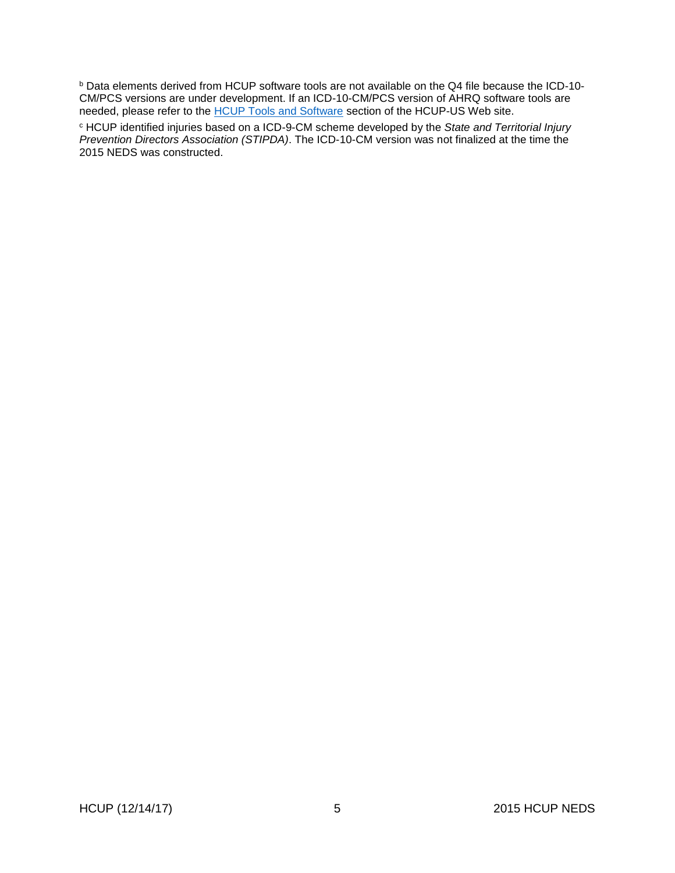<sup>b</sup> Data elements derived from HCUP software tools are not available on the Q4 file because the ICD-10- CM/PCS versions are under development. If an ICD-10-CM/PCS version of AHRQ software tools are needed, please refer to the HCUP [Tools and Software](https://www.hcup-us.ahrq.gov/tools_software.jsp) section of the HCUP-US Web site.

<sup>c</sup> HCUP identified injuries based on a ICD-9-CM scheme developed by the *State and Territorial Injury Prevention Directors Association (STIPDA)*. The ICD-10-CM version was not finalized at the time the 2015 NEDS was constructed.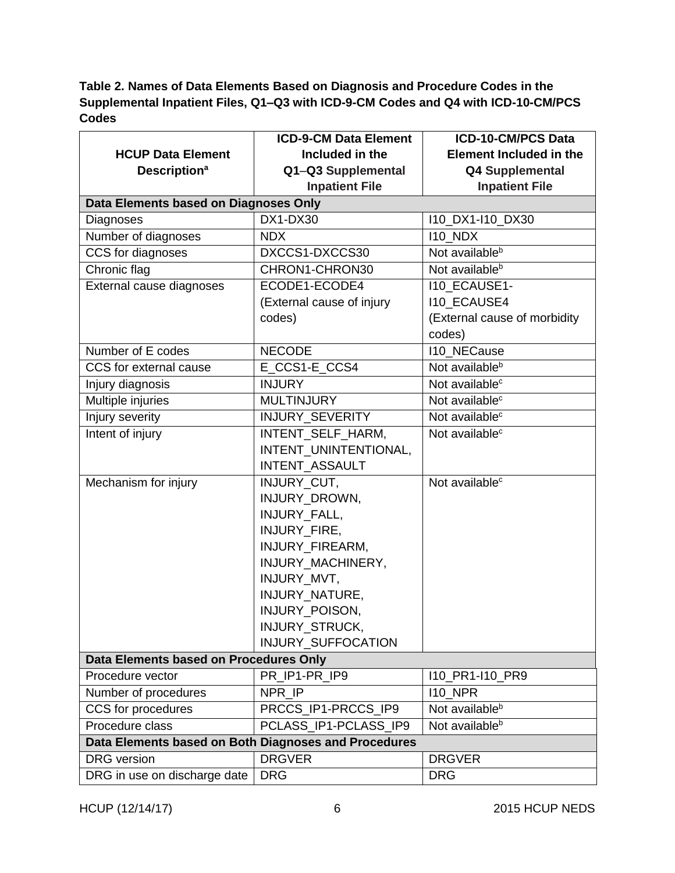# <span id="page-7-0"></span>**Table 2. Names of Data Elements Based on Diagnosis and Procedure Codes in the Supplemental Inpatient Files, Q1–Q3 with ICD-9-CM Codes and Q4 with ICD-10-CM/PCS Codes**

|                                                      | <b>ICD-9-CM Data Element</b> | <b>ICD-10-CM/PCS Data</b>      |  |  |  |
|------------------------------------------------------|------------------------------|--------------------------------|--|--|--|
| <b>HCUP Data Element</b>                             | Included in the              | <b>Element Included in the</b> |  |  |  |
| <b>Description<sup>a</sup></b>                       | Q1-Q3 Supplemental           | <b>Q4 Supplemental</b>         |  |  |  |
|                                                      | <b>Inpatient File</b>        | <b>Inpatient File</b>          |  |  |  |
| Data Elements based on Diagnoses Only                |                              |                                |  |  |  |
| Diagnoses                                            | DX1-DX30                     | 110_DX1-110_DX30               |  |  |  |
| Number of diagnoses                                  | <b>NDX</b>                   | <b>I10_NDX</b>                 |  |  |  |
| CCS for diagnoses                                    | DXCCS1-DXCCS30               | Not available <sup>b</sup>     |  |  |  |
| Chronic flag                                         | CHRON1-CHRON30               | Not available <sup>b</sup>     |  |  |  |
| External cause diagnoses                             | ECODE1-ECODE4                | <b>I10 ECAUSE1-</b>            |  |  |  |
|                                                      | (External cause of injury    | <b>I10_ECAUSE4</b>             |  |  |  |
|                                                      | codes)                       | (External cause of morbidity   |  |  |  |
|                                                      |                              | codes)                         |  |  |  |
| Number of E codes                                    | <b>NECODE</b>                | 110 NECause                    |  |  |  |
| CCS for external cause                               | E_CCS1-E_CCS4                | Not available <sup>b</sup>     |  |  |  |
| Injury diagnosis                                     | <b>INJURY</b>                | Not available <sup>c</sup>     |  |  |  |
| Multiple injuries                                    | <b>MULTINJURY</b>            | Not available <sup>c</sup>     |  |  |  |
| Injury severity                                      | INJURY_SEVERITY              | Not available <sup>c</sup>     |  |  |  |
| Intent of injury                                     | INTENT SELF HARM,            | Not available <sup>c</sup>     |  |  |  |
|                                                      | INTENT_UNINTENTIONAL,        |                                |  |  |  |
|                                                      | INTENT_ASSAULT               |                                |  |  |  |
| Mechanism for injury                                 | INJURY_CUT,                  | Not available <sup>c</sup>     |  |  |  |
|                                                      | INJURY_DROWN,                |                                |  |  |  |
|                                                      | INJURY_FALL,                 |                                |  |  |  |
|                                                      | INJURY_FIRE,                 |                                |  |  |  |
|                                                      | INJURY_FIREARM,              |                                |  |  |  |
|                                                      | INJURY_MACHINERY,            |                                |  |  |  |
|                                                      | INJURY_MVT,                  |                                |  |  |  |
|                                                      | INJURY_NATURE,               |                                |  |  |  |
|                                                      | INJURY_POISON,               |                                |  |  |  |
|                                                      | INJURY_STRUCK,               |                                |  |  |  |
|                                                      | INJURY_SUFFOCATION           |                                |  |  |  |
| Data Elements based on Procedures Only               |                              |                                |  |  |  |
| Procedure vector                                     | PR IP1-PR IP9                | 110_PR1-110_PR9                |  |  |  |
| Number of procedures                                 | NPR_IP                       | $110$ _NPR                     |  |  |  |
| CCS for procedures                                   | PRCCS_IP1-PRCCS_IP9          | Not available <sup>b</sup>     |  |  |  |
| Procedure class                                      | PCLASS_IP1-PCLASS_IP9        | Not available <sup>b</sup>     |  |  |  |
| Data Elements based on Both Diagnoses and Procedures |                              |                                |  |  |  |
| <b>DRG</b> version                                   | <b>DRGVER</b>                | <b>DRGVER</b>                  |  |  |  |
| DRG in use on discharge date                         | <b>DRG</b>                   | <b>DRG</b>                     |  |  |  |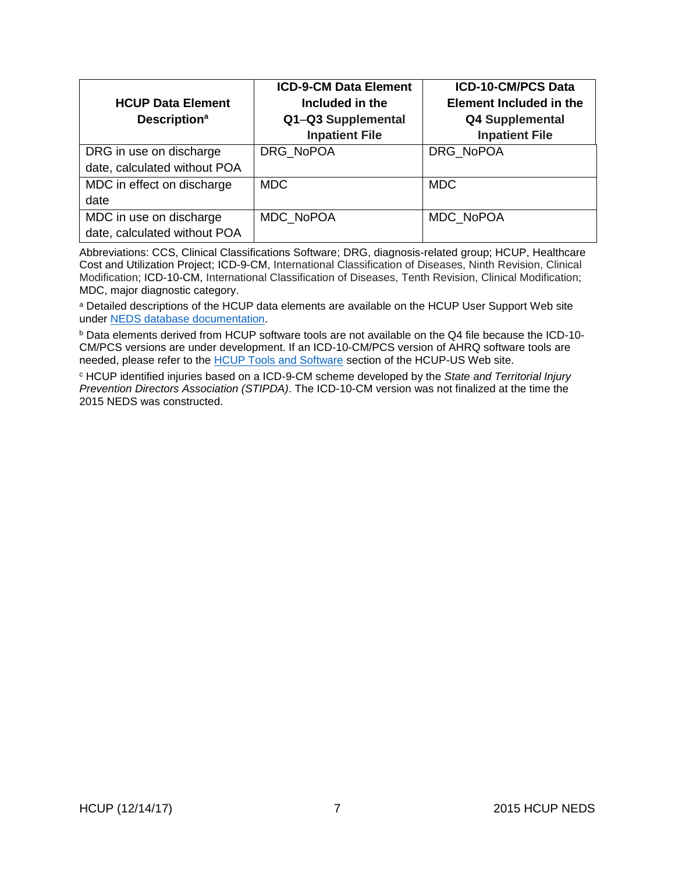| <b>HCUP Data Element</b><br><b>Description<sup>a</sup></b> | <b>ICD-9-CM Data Element</b><br>Included in the<br>Q1-Q3 Supplemental<br><b>Inpatient File</b> | <b>ICD-10-CM/PCS Data</b><br><b>Element Included in the</b><br><b>Q4 Supplemental</b><br><b>Inpatient File</b> |
|------------------------------------------------------------|------------------------------------------------------------------------------------------------|----------------------------------------------------------------------------------------------------------------|
| DRG in use on discharge<br>date, calculated without POA    | DRG NoPOA                                                                                      | DRG NoPOA                                                                                                      |
| MDC in effect on discharge<br>date                         | <b>MDC</b>                                                                                     | <b>MDC</b>                                                                                                     |
| MDC in use on discharge<br>date, calculated without POA    | MDC NoPOA                                                                                      | MDC NoPOA                                                                                                      |

Abbreviations: CCS, Clinical Classifications Software; DRG, diagnosis-related group; HCUP, Healthcare Cost and Utilization Project; ICD-9-CM, International Classification of Diseases, Ninth Revision, Clinical Modification; ICD-10-CM, International Classification of Diseases, Tenth Revision, Clinical Modification; MDC, major diagnostic category.

a Detailed descriptions of the HCUP data elements are available on the HCUP User Support Web site under [NEDS database documentation.](https://www.hcup-us.ahrq.gov/db/nation/neds/nedsdbdocumentation.jsp)

<sup>b</sup> Data elements derived from HCUP software tools are not available on the Q4 file because the ICD-10- CM/PCS versions are under development. If an ICD-10-CM/PCS version of AHRQ software tools are needed, please refer to the [HCUP Tools and Software](https://www.hcup-us.ahrq.gov/tools_software.jsp) section of the HCUP-US Web site.

<sup>c</sup> HCUP identified injuries based on a ICD-9-CM scheme developed by the *State and Territorial Injury Prevention Directors Association (STIPDA)*. The ICD-10-CM version was not finalized at the time the 2015 NEDS was constructed.